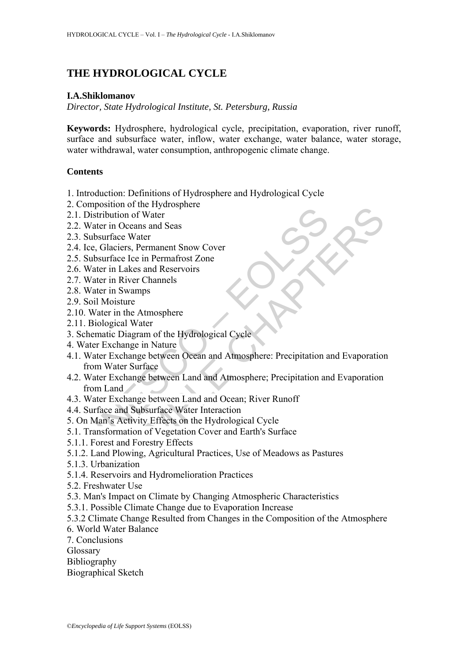# **THE HYDROLOGICAL CYCLE**

## **I.A.Shiklomanov**

*Director, State Hydrological Institute, St. Petersburg, Russia* 

**Keywords:** Hydrosphere, hydrological cycle, precipitation, evaporation, river runoff, surface and subsurface water, inflow, water exchange, water balance, water storage, water withdrawal, water consumption, anthropogenic climate change.

## **Contents**

- 1. Introduction: Definitions of Hydrosphere and Hydrological Cycle
- 2. Composition of the Hydrosphere
- 2.1. Distribution of Water
- 2.2. Water in Oceans and Seas
- 2.3. Subsurface Water
- 2.4. Ice, Glaciers, Permanent Snow Cover
- 2.5. Subsurface Ice in Permafrost Zone
- 2.6. Water in Lakes and Reservoirs
- 2.7. Water in River Channels
- 2.8. Water in Swamps
- 2.9. Soil Moisture
- 2.10. Water in the Atmosphere
- 2.11. Biological Water
- 3. Schematic Diagram of the Hydrological Cycle
- 4. Water Exchange in Nature
- Engine Distribution of Water<br>
Distribution of Water<br>
Water in Oceans and Seas<br>
Subsurface Water<br>
Ice, Glaciers, Permanent Snow Cover<br>
Subsurface Lee in Permafrost Zone<br>
Water in Eakes and Reservoirs<br>
Water in Swamps<br>
Soil From of the Typulosphere<br>
in Oceans and Seas<br>
in Creams and Seas<br>
race Water<br>
in Creams and Seas<br>
race Ice in Permafrost Zone<br>
in Lakes and Reservoirs<br>
in Swamps<br>
in Swamps<br>
in Simple Channels<br>
in Swamps<br>
in Swamps<br>
in Swa 4.1. Water Exchange between Ocean and Atmosphere: Precipitation and Evaporation from Water Surface
- 4.2. Water Exchange between Land and Atmosphere; Precipitation and Evaporation from Land
- 4.3. Water Exchange between Land and Ocean; River Runoff
- 4.4. Surface and Subsurface Water Interaction
- 5. On Man's Activity Effects on the Hydrological Cycle
- 5.1. Transformation of Vegetation Cover and Earth's Surface
- 5.1.1. Forest and Forestry Effects
- 5.1.2. Land Plowing, Agricultural Practices, Use of Meadows as Pastures
- 5.1.3. Urbanization
- 5.1.4. Reservoirs and Hydromelioration Practices
- 5.2. Freshwater Use
- 5.3. Man's Impact on Climate by Changing Atmospheric Characteristics
- 5.3.1. Possible Climate Change due to Evaporation Increase
- 5.3.2 Climate Change Resulted from Changes in the Composition of the Atmosphere
- 6. World Water Balance
- 7. Conclusions
- Glossary
- Bibliography
- Biographical Sketch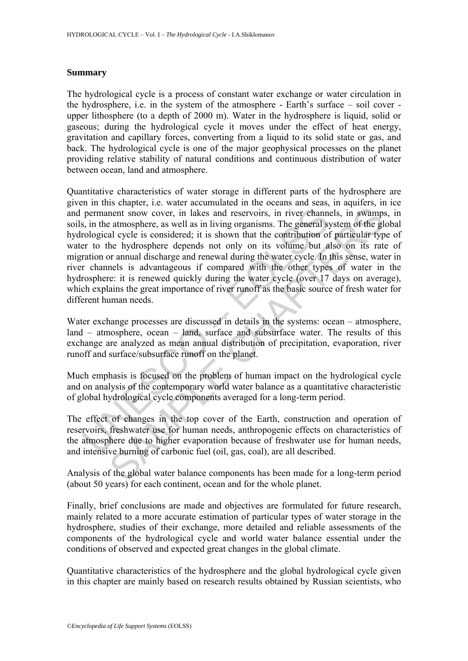## **Summary**

The hydrological cycle is a process of constant water exchange or water circulation in the hydrosphere, i.e. in the system of the atmosphere - Earth's surface – soil cover upper lithosphere (to a depth of 2000 m). Water in the hydrosphere is liquid, solid or gaseous; during the hydrological cycle it moves under the effect of heat energy, gravitation and capillary forces, converting from a liquid to its solid state or gas, and back. The hydrological cycle is one of the major geophysical processes on the planet providing relative stability of natural conditions and continuous distribution of water between ocean, land and atmosphere.

permanent snow cover, in lakes and reservoirs, in river channs, in the atmosphere, as well as in living organisms. The general sy<br>cological cycle is considered; it is shown that the contribution of<br>er to the hydrosphere de metrical stock and restrictions, in the control show cover, in lakes and reservoirs, in river channels, in swamps atmosphere, as well as in living organisms. The general system of the glal cycle is considered, it is shown Quantitative characteristics of water storage in different parts of the hydrosphere are given in this chapter, i.e. water accumulated in the oceans and seas, in aquifers, in ice and permanent snow cover, in lakes and reservoirs, in river channels, in swamps, in soils, in the atmosphere, as well as in living organisms. The general system of the global hydrological cycle is considered; it is shown that the contribution of particular type of water to the hydrosphere depends not only on its volume but also on its rate of migration or annual discharge and renewal during the water cycle. In this sense, water in river channels is advantageous if compared with the other types of water in the hydrosphere: it is renewed quickly during the water cycle (over 17 days on average), which explains the great importance of river runoff as the basic source of fresh water for different human needs.

Water exchange processes are discussed in details in the systems: ocean – atmosphere, land – atmosphere, ocean – land, surface and subsurface water. The results of this exchange are analyzed as mean annual distribution of precipitation, evaporation, river runoff and surface/subsurface runoff on the planet.

Much emphasis is focused on the problem of human impact on the hydrological cycle and on analysis of the contemporary world water balance as a quantitative characteristic of global hydrological cycle components averaged for a long-term period.

The effect of changes in the top cover of the Earth, construction and operation of reservoirs, freshwater use for human needs, anthropogenic effects on characteristics of the atmosphere due to higher evaporation because of freshwater use for human needs, and intensive burning of carbonic fuel (oil, gas, coal), are all described.

Analysis of the global water balance components has been made for a long-term period (about 50 years) for each continent, ocean and for the whole planet.

Finally, brief conclusions are made and objectives are formulated for future research, mainly related to a more accurate estimation of particular types of water storage in the hydrosphere, studies of their exchange, more detailed and reliable assessments of the components of the hydrological cycle and world water balance essential under the conditions of observed and expected great changes in the global climate.

Quantitative characteristics of the hydrosphere and the global hydrological cycle given in this chapter are mainly based on research results obtained by Russian scientists, who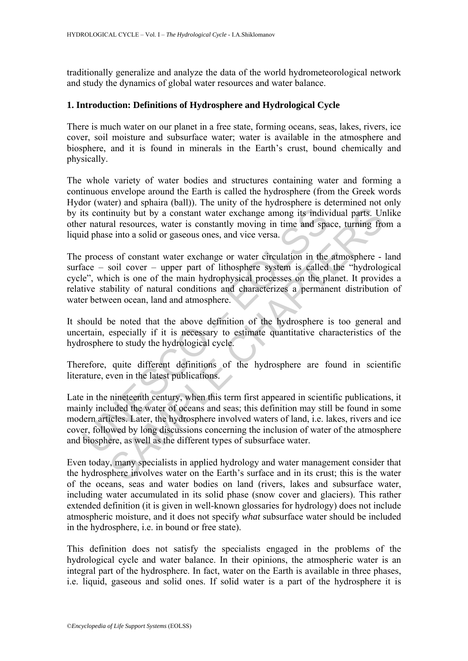traditionally generalize and analyze the data of the world hydrometeorological network and study the dynamics of global water resources and water balance.

### **1. Introduction: Definitions of Hydrosphere and Hydrological Cycle**

There is much water on our planet in a free state, forming oceans, seas, lakes, rivers, ice cover, soil moisture and subsurface water; water is available in the atmosphere and biosphere, and it is found in minerals in the Earth's crust, bound chemically and physically.

The whole variety of water bodies and structures containing water and forming a continuous envelope around the Earth is called the hydrosphere (from the Greek words Hydor (water) and sphaira (ball)). The unity of the hydrosphere is determined not only by its continuity but by a constant water exchange among its individual parts. Unlike other natural resources, water is constantly moving in time and space, turning from a liquid phase into a solid or gaseous ones, and vice versa.

The process of constant water exchange or water circulation in the atmosphere - land surface – soil cover – upper part of lithosphere system is called the "hydrological cycle", which is one of the main hydrophysical processes on the planet. It provides a relative stability of natural conditions and characterizes a permanent distribution of water between ocean, land and atmosphere.

It should be noted that the above definition of the hydrosphere is too general and uncertain, especially if it is necessary to estimate quantitative characteristics of the hydrosphere to study the hydrological cycle.

Therefore, quite different definitions of the hydrosphere are found in scientific literature, even in the latest publications.

ts continuity but by a constant water exchange among its indiv-<br>r natural resources, water is constantly moving in time and spa<br>id phase into a solid or gaseous ones, and vice versa.<br>process of constant water exchange or w in the state of the hydrosphere are found in science in the amound in the state in the state involves water involves and year. The ento a solid or gaseous ones, and vice versa. It is moreover, water is constantly moving in Late in the nineteenth century, when this term first appeared in scientific publications, it mainly included the water of oceans and seas; this definition may still be found in some modern articles. Later, the hydrosphere involved waters of land, i.e. lakes, rivers and ice cover, followed by long discussions concerning the inclusion of water of the atmosphere and biosphere, as well as the different types of subsurface water.

Even today, many specialists in applied hydrology and water management consider that the hydrosphere involves water on the Earth's surface and in its crust; this is the water of the oceans, seas and water bodies on land (rivers, lakes and subsurface water, including water accumulated in its solid phase (snow cover and glaciers). This rather extended definition (it is given in well-known glossaries for hydrology) does not include atmospheric moisture, and it does not specify *what* subsurface water should be included in the hydrosphere, i.e. in bound or free state).

This definition does not satisfy the specialists engaged in the problems of the hydrological cycle and water balance. In their opinions, the atmospheric water is an integral part of the hydrosphere. In fact, water on the Earth is available in three phases, i.e. liquid, gaseous and solid ones. If solid water is a part of the hydrosphere it is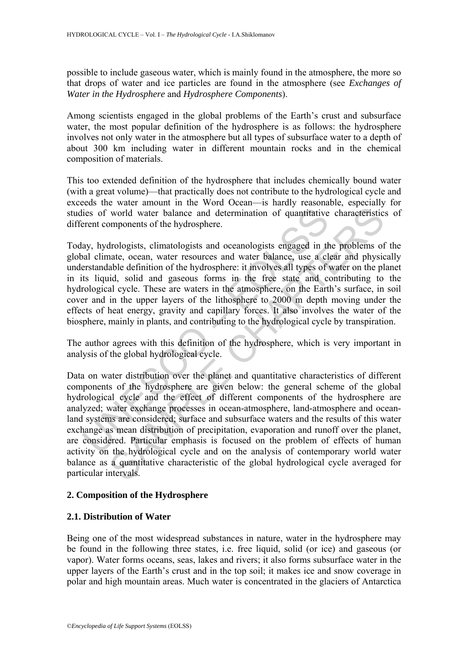possible to include gaseous water, which is mainly found in the atmosphere, the more so that drops of water and ice particles are found in the atmosphere (see *Exchanges of Water in the Hydrosphere* and *Hydrosphere Components*).

Among scientists engaged in the global problems of the Earth's crust and subsurface water, the most popular definition of the hydrosphere is as follows: the hydrosphere involves not only water in the atmosphere but all types of subsurface water to a depth of about 300 km including water in different mountain rocks and in the chemical composition of materials.

This too extended definition of the hydrosphere that includes chemically bound water (with a great volume)—that practically does not contribute to the hydrological cycle and exceeds the water amount in the Word Ocean—is hardly reasonable, especially for studies of world water balance and determination of quantitative characteristics of different components of the hydrosphere.

lies of world water balance and determination of quantitative<br>verent components of the hydrosphere.<br>ay, hydrologists, climatologists and oceanologists engaged in th<br>al climate, ocean, water resources and water balance, use Today, hydrologists, climatologists and oceanologists engaged in the problems of the global climate, ocean, water resources and water balance, use a clear and physically understandable definition of the hydrosphere: it involves all types of water on the planet in its liquid, solid and gaseous forms in the free state and contributing to the hydrological cycle. These are waters in the atmosphere, on the Earth's surface, in soil cover and in the upper layers of the lithosphere to 2000 m depth moving under the effects of heat energy, gravity and capillary forces. It also involves the water of the biosphere, mainly in plants, and contributing to the hydrological cycle by transpiration.

The author agrees with this definition of the hydrosphere, which is very important in analysis of the global hydrological cycle.

world water balance and determination of quantitative characteristic omponents of the hydrosphere.<br>Irologists, climatologists and oceanologists engaged in the problems of<br>ate, ocean, water resources and water balance, use Data on water distribution over the planet and quantitative characteristics of different components of the hydrosphere are given below: the general scheme of the global hydrological cycle and the effect of different components of the hydrosphere are analyzed; water exchange processes in ocean-atmosphere, land-atmosphere and oceanland systems are considered; surface and subsurface waters and the results of this water exchange as mean distribution of precipitation, evaporation and runoff over the planet, are considered. Particular emphasis is focused on the problem of effects of human activity on the hydrological cycle and on the analysis of contemporary world water balance as a quantitative characteristic of the global hydrological cycle averaged for particular intervals.

# **2. Composition of the Hydrosphere**

# **2.1. Distribution of Water**

Being one of the most widespread substances in nature, water in the hydrosphere may be found in the following three states, i.e. free liquid, solid (or ice) and gaseous (or vapor). Water forms oceans, seas, lakes and rivers; it also forms subsurface water in the upper layers of the Earth's crust and in the top soil; it makes ice and snow coverage in polar and high mountain areas. Much water is concentrated in the glaciers of Antarctica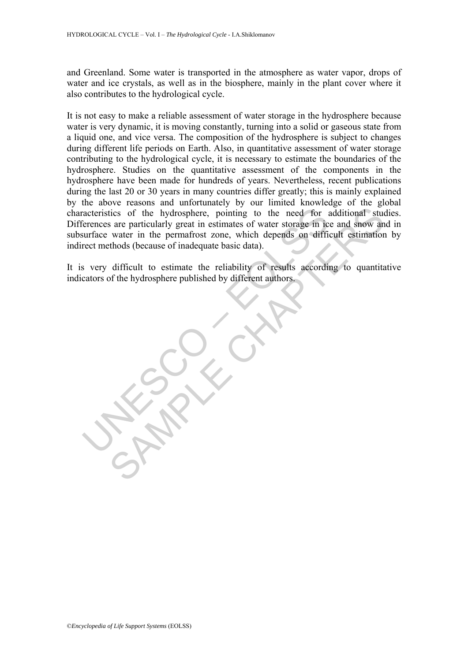and Greenland. Some water is transported in the atmosphere as water vapor, drops of water and ice crystals, as well as in the biosphere, mainly in the plant cover where it also contributes to the hydrological cycle.

recenteristics of the hydrosphere, pointing to the need for a<br>
derences are particularly great in estimates of water storage in ic<br>
surface water in the permafrost zone, which depends on diffit<br>
rect methods (because of in ties of the hydrosphere, pointing to the need for additional studies are particularly great in estimates of water storage in ice and show an water in the permafrost zone, which depends on difficult estimation when when tho It is not easy to make a reliable assessment of water storage in the hydrosphere because water is very dynamic, it is moving constantly, turning into a solid or gaseous state from a liquid one, and vice versa. The composition of the hydrosphere is subject to changes during different life periods on Earth. Also, in quantitative assessment of water storage contributing to the hydrological cycle, it is necessary to estimate the boundaries of the hydrosphere. Studies on the quantitative assessment of the components in the hydrosphere have been made for hundreds of years. Nevertheless, recent publications during the last 20 or 30 years in many countries differ greatly; this is mainly explained by the above reasons and unfortunately by our limited knowledge of the global characteristics of the hydrosphere, pointing to the need for additional studies. Differences are particularly great in estimates of water storage in ice and snow and in subsurface water in the permafrost zone, which depends on difficult estimation by indirect methods (because of inadequate basic data).

It is very difficult to estimate the reliability of results according to quantitative indicators of the hydrosphere published by different authors.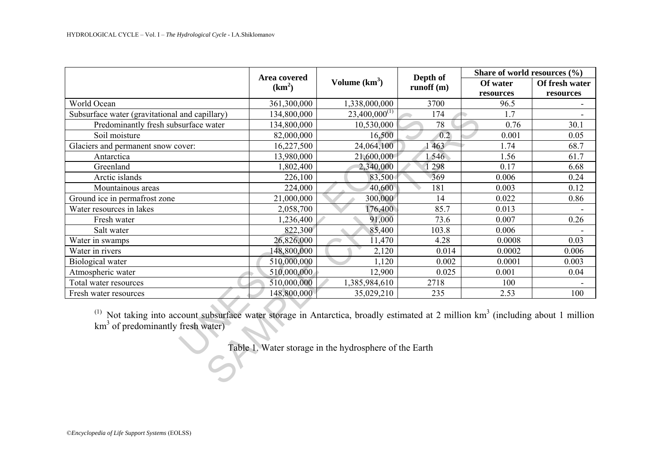|                                                                                                                                                                                       | Area covered<br>(km <sup>2</sup> ) | Volume $(km3)$                                         | Depth of<br>runoff(m) | Share of world resources (%) |                |
|---------------------------------------------------------------------------------------------------------------------------------------------------------------------------------------|------------------------------------|--------------------------------------------------------|-----------------------|------------------------------|----------------|
|                                                                                                                                                                                       |                                    |                                                        |                       | Of water                     | Of fresh water |
|                                                                                                                                                                                       |                                    |                                                        |                       | resources                    | resources      |
| World Ocean                                                                                                                                                                           | 361,300,000                        | 1,338,000,000                                          | 3700                  | 96.5                         |                |
| Subsurface water (gravitational and capillary)                                                                                                                                        | 134,800,000                        | $23,400,000^{(1)}$                                     | 174                   | 1.7                          |                |
| Predominantly fresh subsurface water                                                                                                                                                  | 134,800,000                        | 10,530,000                                             | 78                    | 0.76                         | 30.1           |
| Soil moisture                                                                                                                                                                         | 82,000,000                         | 16,500                                                 | 0.2                   | 0.001                        | 0.05           |
| Glaciers and permanent snow cover:                                                                                                                                                    | 16,227,500                         | 24,064,100                                             | 463                   | 1.74                         | 68.7           |
| Antarctica                                                                                                                                                                            | 13,980,000                         | 21,600,000                                             | 546                   | 1.56                         | 61.7           |
| Greenland                                                                                                                                                                             | 1,802,400                          | 2,340,000                                              | 298                   | 0.17                         | 6.68           |
| Arctic islands                                                                                                                                                                        | 226,100                            | 83,500                                                 | 369                   | 0.006                        | 0.24           |
| Mountainous areas                                                                                                                                                                     | 224,000                            | 40,600                                                 | 181                   | 0.003                        | 0.12           |
| Ground ice in permafrost zone                                                                                                                                                         | 21,000,000                         | 300,000                                                | 14                    | 0.022                        | 0.86           |
| Water resources in lakes                                                                                                                                                              | 2,058,700                          | 176,400                                                | 85.7                  | 0.013                        |                |
| Fresh water                                                                                                                                                                           | 1,236,400                          | 91,000                                                 | 73.6                  | 0.007                        | 0.26           |
| Salt water                                                                                                                                                                            | 822,300                            | 85,400                                                 | 103.8                 | 0.006                        |                |
| Water in swamps                                                                                                                                                                       | 26,826,000                         | 11,470                                                 | 4.28                  | 0.0008                       | 0.03           |
| Water in rivers                                                                                                                                                                       | 148,800,000                        | 2,120                                                  | 0.014                 | 0.0002                       | 0.006          |
| Biological water                                                                                                                                                                      | 510,000,000                        | 1,120                                                  | 0.002                 | 0.0001                       | 0.003          |
| Atmospheric water                                                                                                                                                                     | 510,000,000                        | 12,900                                                 | 0.025                 | 0.001                        | 0.04           |
| Total water resources                                                                                                                                                                 | 510,000,000                        | 1,385,984,610                                          | 2718                  | 100                          |                |
| Fresh water resources                                                                                                                                                                 | 148,800,000                        | 35,029,210                                             | 235                   | 2.53                         | 100            |
| <sup>(1)</sup> Not taking into account subsurface water storage in Antarctica, broadly estimated at 2 million $km3$ (including about 1 million<br>$km3$ of predominantly fresh water) |                                    | Table 1. Water storage in the hydrosphere of the Earth |                       |                              |                |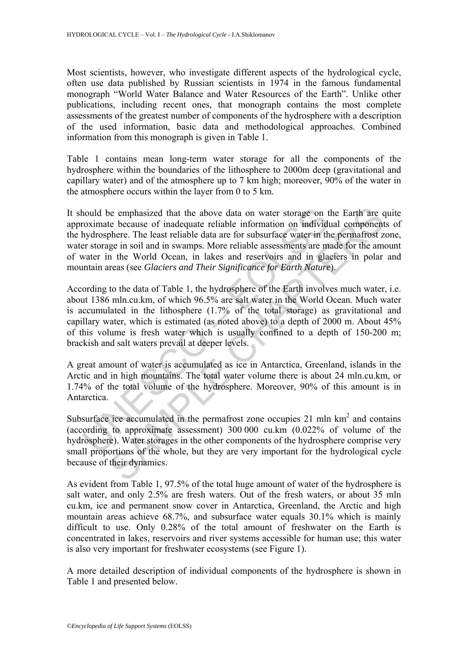Most scientists, however, who investigate different aspects of the hydrological cycle, often use data published by Russian scientists in 1974 in the famous fundamental monograph "World Water Balance and Water Resources of the Earth". Unlike other publications, including recent ones, that monograph contains the most complete assessments of the greatest number of components of the hydrosphere with a description of the used information, basic data and methodological approaches. Combined information from this monograph is given in Table 1.

Table 1 contains mean long-term water storage for all the components of the hydrosphere within the boundaries of the lithosphere to 2000m deep (gravitational and capillary water) and of the atmosphere up to 7 km high; moreover, 90% of the water in the atmosphere occurs within the layer from 0 to 5 km.

It should be emphasized that the above data on water storage on the Earth are quite approximate because of inadequate reliable information on individual components of the hydrosphere. The least reliable data are for subsurface water in the permafrost zone, water storage in soil and in swamps. More reliable assessments are made for the amount of water in the World Ocean, in lakes and reservoirs and in glaciers in polar and mountain areas (see *Glaciers and Their Significance for Earth Nature*).

nould be emphasized that the above data on water storage on the constrained because of inadequate reliable information on individually thy drosphere. The least reliable data are for subsurface water in the word of Ocean, i be emphasized that the above data on water storage on the Earth are the because of inadequate reliable information on individual component<br>phere. The least reliable data are for subsurface water in the permafirest zelecti According to the data of Table 1, the hydrosphere of the Earth involves much water, i.e. about 1386 mln.cu.km, of which 96.5% are salt water in the World Ocean. Much water is accumulated in the lithosphere (1.7% of the total storage) as gravitational and capillary water, which is estimated (as noted above) to a depth of 2000 m. About 45% of this volume is fresh water which is usually confined to a depth of 150-200 m; brackish and salt waters prevail at deeper levels.

A great amount of water is accumulated as ice in Antarctica, Greenland, islands in the Arctic and in high mountains. The total water volume there is about 24 mln.cu.km, or 1.74% of the total volume of the hydrosphere. Moreover, 90% of this amount is in Antarctica.

Subsurface ice accumulated in the permafrost zone occupies  $21 \text{ min km}^2$  and contains (according to approximate assessment) 300 000 cu.km (0.022% of volume of the hydrosphere). Water storages in the other components of the hydrosphere comprise very small proportions of the whole, but they are very important for the hydrological cycle because of their dynamics.

As evident from Table 1, 97.5% of the total huge amount of water of the hydrosphere is salt water, and only 2.5% are fresh waters. Out of the fresh waters, or about 35 mln cu.km, ice and permanent snow cover in Antarctica, Greenland, the Arctic and high mountain areas achieve 68.7%, and subsurface water equals 30.1% which is mainly difficult to use. Only 0.28% of the total amount of freshwater on the Earth is concentrated in lakes, reservoirs and river systems accessible for human use; this water is also very important for freshwater ecosystems (see Figure 1).

A more detailed description of individual components of the hydrosphere is shown in Table 1 and presented below.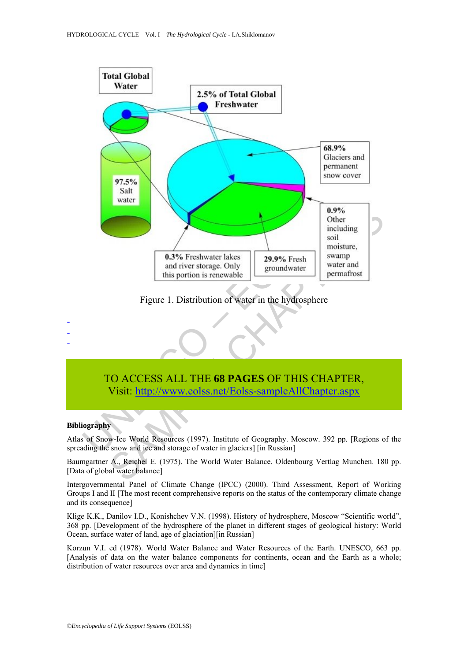

Figure 1. Distribution of water in the hydrosphere

# TO ACCESS ALL THE **68 PAGES** OF THIS CHAPTER, Visit: http://www.eolss.net/Eolss-sampleAllChapter.aspx

#### **Bibliography**

- - -

Atlas of Snow-Ice World Resources (1997). Institute of Geography. Moscow. 392 pp. [Regions of the spreading the snow and ice and storage of water in glaciers] [in Russian]

Baumgartner A., Reichel E. (1975). The World Water Balance. Oldenbourg Vertlag Munchen. 180 pp. [Data of global water balance]

Intergovernmental Panel of Climate Change (IPCC) (2000). Third Assessment, Report of Working Groups I and II [The most recent comprehensive reports on the status of the contemporary climate change and its consequence]

Klige K.K., Danilov I.D., Konishchev V.N. (1998). History of hydrosphere, Moscow "Scientific world", 368 pp. [Development of the hydrosphere of the planet in different stages of geological history: World Ocean, surface water of land, age of glaciation][in Russian]

Korzun V.I. ed (1978). World Water Balance and Water Resources of the Earth. UNESCO, 663 pp. [Analysis of data on the water balance components for continents, ocean and the Earth as a whole; distribution of water resources over area and dynamics in time]